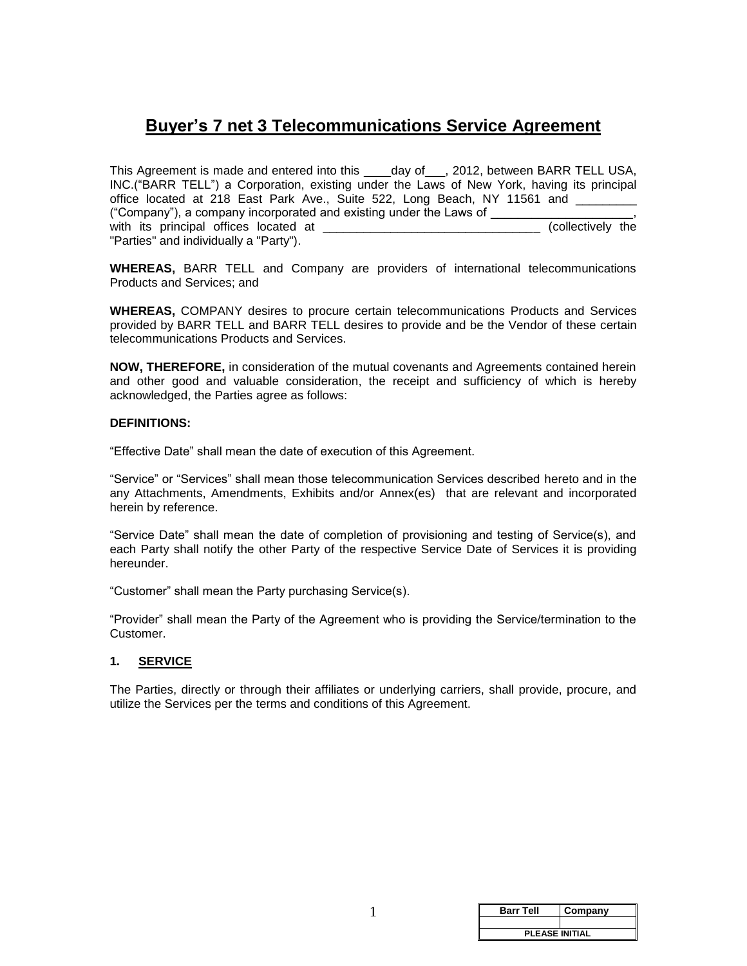## **Buyer's 7 net 3 Telecommunications Service Agreement**

This Agreement is made and entered into this \_\_\_\_day of \_\_\_, 2012, between BARR TELL USA, INC.("BARR TELL") a Corporation, existing under the Laws of New York, having its principal office located at 218 East Park Ave., Suite 522, Long Beach, NY 11561 and ("Company"), a company incorporated and existing under the Laws of \_\_\_\_\_\_\_\_\_\_\_\_\_\_\_\_\_\_\_\_\_, with its principal offices located at \_\_\_\_\_\_\_\_\_\_\_\_\_\_\_\_\_\_\_\_\_\_\_\_\_\_\_\_\_\_\_\_ (collectively the "Parties" and individually a "Party").

**WHEREAS,** BARR TELL and Company are providers of international telecommunications Products and Services; and

**WHEREAS,** COMPANY desires to procure certain telecommunications Products and Services provided by BARR TELL and BARR TELL desires to provide and be the Vendor of these certain telecommunications Products and Services.

**NOW, THEREFORE,** in consideration of the mutual covenants and Agreements contained herein and other good and valuable consideration, the receipt and sufficiency of which is hereby acknowledged, the Parties agree as follows:

#### **DEFINITIONS:**

"Effective Date" shall mean the date of execution of this Agreement.

"Service" or "Services" shall mean those telecommunication Services described hereto and in the any Attachments, Amendments, Exhibits and/or Annex(es) that are relevant and incorporated herein by reference.

"Service Date" shall mean the date of completion of provisioning and testing of Service(s), and each Party shall notify the other Party of the respective Service Date of Services it is providing hereunder.

"Customer" shall mean the Party purchasing Service(s).

"Provider" shall mean the Party of the Agreement who is providing the Service/termination to the Customer.

#### **1. SERVICE**

The Parties, directly or through their affiliates or underlying carriers, shall provide, procure, and utilize the Services per the terms and conditions of this Agreement.

| <b>Barr Tell</b>      | Company |  |
|-----------------------|---------|--|
|                       |         |  |
| <b>PLEASE INITIAL</b> |         |  |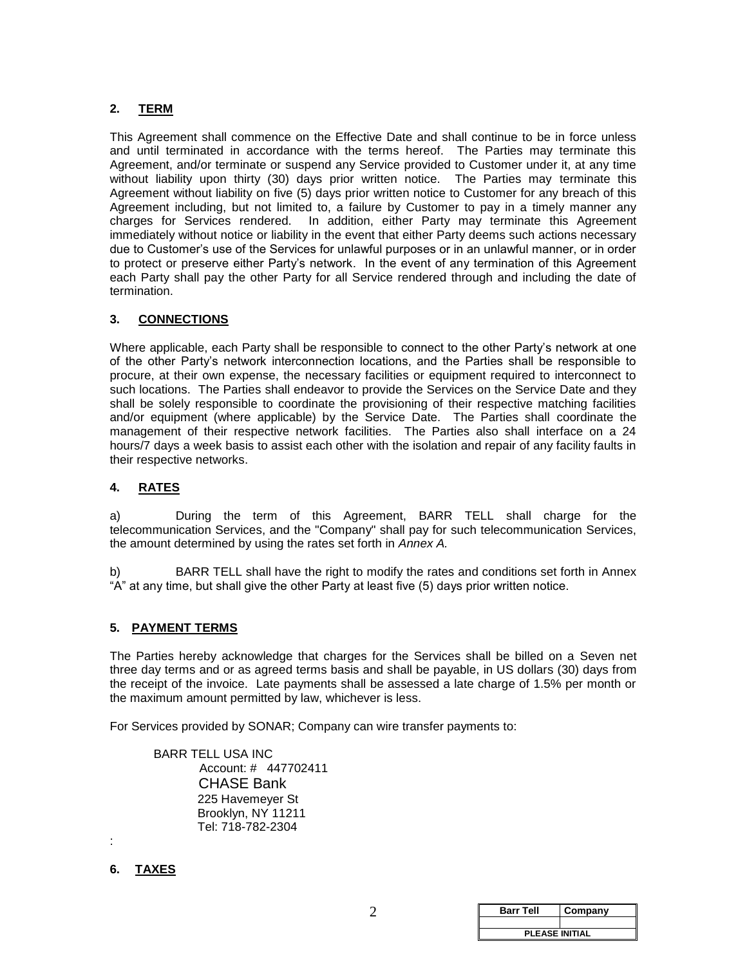### **2. TERM**

This Agreement shall commence on the Effective Date and shall continue to be in force unless and until terminated in accordance with the terms hereof. The Parties may terminate this Agreement, and/or terminate or suspend any Service provided to Customer under it, at any time without liability upon thirty (30) days prior written notice. The Parties may terminate this Agreement without liability on five (5) days prior written notice to Customer for any breach of this Agreement including, but not limited to, a failure by Customer to pay in a timely manner any charges for Services rendered. In addition, either Party may terminate this Agreement immediately without notice or liability in the event that either Party deems such actions necessary due to Customer's use of the Services for unlawful purposes or in an unlawful manner, or in order to protect or preserve either Party's network. In the event of any termination of this Agreement each Party shall pay the other Party for all Service rendered through and including the date of termination.

#### **3. CONNECTIONS**

Where applicable, each Party shall be responsible to connect to the other Party's network at one of the other Party's network interconnection locations, and the Parties shall be responsible to procure, at their own expense, the necessary facilities or equipment required to interconnect to such locations. The Parties shall endeavor to provide the Services on the Service Date and they shall be solely responsible to coordinate the provisioning of their respective matching facilities and/or equipment (where applicable) by the Service Date. The Parties shall coordinate the management of their respective network facilities. The Parties also shall interface on a 24 hours/7 days a week basis to assist each other with the isolation and repair of any facility faults in their respective networks.

#### **4. RATES**

a) During the term of this Agreement, BARR TELL shall charge for the telecommunication Services, and the "Company" shall pay for such telecommunication Services, the amount determined by using the rates set forth in *Annex A.*

b) BARR TELL shall have the right to modify the rates and conditions set forth in Annex "A" at any time, but shall give the other Party at least five (5) days prior written notice.

#### **5. PAYMENT TERMS**

The Parties hereby acknowledge that charges for the Services shall be billed on a Seven net three day terms and or as agreed terms basis and shall be payable, in US dollars (30) days from the receipt of the invoice. Late payments shall be assessed a late charge of 1.5% per month or the maximum amount permitted by law, whichever is less.

For Services provided by SONAR; Company can wire transfer payments to:

BARR TELL USA INC Account: # 447702411 CHASE Bank 225 Havemeyer St Brooklyn, NY 11211 Tel: 718-782-2304

#### **6. TAXES**

:

| <b>Barr Tell</b>      | Company |  |
|-----------------------|---------|--|
|                       |         |  |
| <b>PLEASE INITIAL</b> |         |  |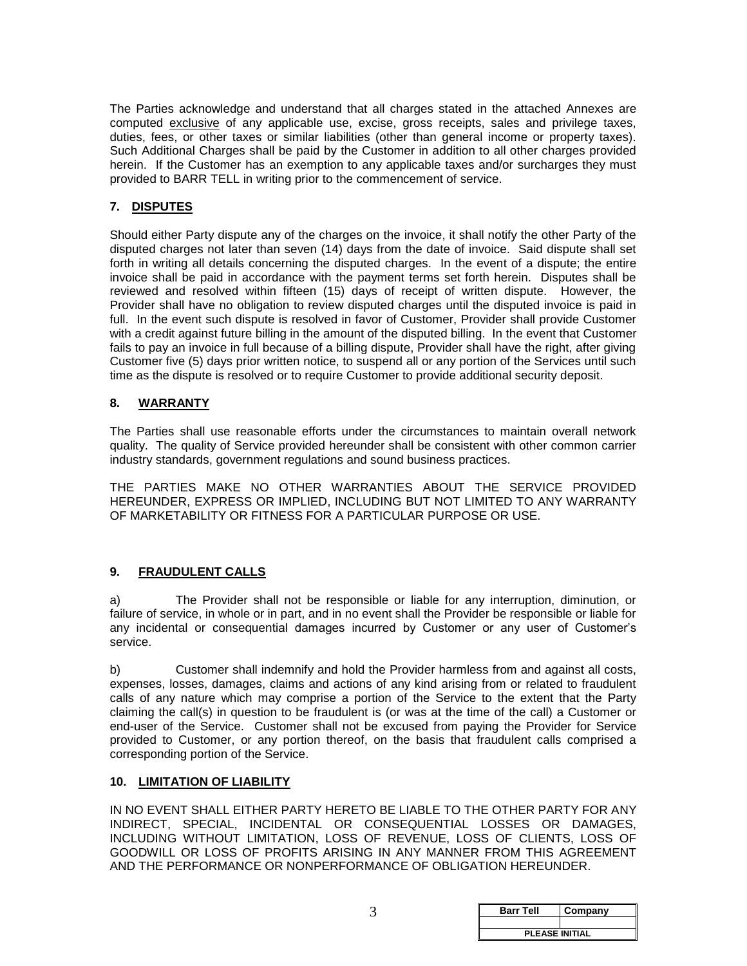The Parties acknowledge and understand that all charges stated in the attached Annexes are computed exclusive of any applicable use, excise, gross receipts, sales and privilege taxes, duties, fees, or other taxes or similar liabilities (other than general income or property taxes). Such Additional Charges shall be paid by the Customer in addition to all other charges provided herein. If the Customer has an exemption to any applicable taxes and/or surcharges they must provided to BARR TELL in writing prior to the commencement of service.

### **7. DISPUTES**

Should either Party dispute any of the charges on the invoice, it shall notify the other Party of the disputed charges not later than seven (14) days from the date of invoice. Said dispute shall set forth in writing all details concerning the disputed charges. In the event of a dispute; the entire invoice shall be paid in accordance with the payment terms set forth herein. Disputes shall be reviewed and resolved within fifteen (15) days of receipt of written dispute. However, the Provider shall have no obligation to review disputed charges until the disputed invoice is paid in full. In the event such dispute is resolved in favor of Customer, Provider shall provide Customer with a credit against future billing in the amount of the disputed billing. In the event that Customer fails to pay an invoice in full because of a billing dispute, Provider shall have the right, after giving Customer five (5) days prior written notice, to suspend all or any portion of the Services until such time as the dispute is resolved or to require Customer to provide additional security deposit.

#### **8. WARRANTY**

The Parties shall use reasonable efforts under the circumstances to maintain overall network quality. The quality of Service provided hereunder shall be consistent with other common carrier industry standards, government regulations and sound business practices.

THE PARTIES MAKE NO OTHER WARRANTIES ABOUT THE SERVICE PROVIDED HEREUNDER, EXPRESS OR IMPLIED, INCLUDING BUT NOT LIMITED TO ANY WARRANTY OF MARKETABILITY OR FITNESS FOR A PARTICULAR PURPOSE OR USE.

#### **9. FRAUDULENT CALLS**

a) The Provider shall not be responsible or liable for any interruption, diminution, or failure of service, in whole or in part, and in no event shall the Provider be responsible or liable for any incidental or consequential damages incurred by Customer or any user of Customer's service.

b) Customer shall indemnify and hold the Provider harmless from and against all costs, expenses, losses, damages, claims and actions of any kind arising from or related to fraudulent calls of any nature which may comprise a portion of the Service to the extent that the Party claiming the call(s) in question to be fraudulent is (or was at the time of the call) a Customer or end-user of the Service. Customer shall not be excused from paying the Provider for Service provided to Customer, or any portion thereof, on the basis that fraudulent calls comprised a corresponding portion of the Service.

#### **10. LIMITATION OF LIABILITY**

IN NO EVENT SHALL EITHER PARTY HERETO BE LIABLE TO THE OTHER PARTY FOR ANY INDIRECT, SPECIAL, INCIDENTAL OR CONSEQUENTIAL LOSSES OR DAMAGES, INCLUDING WITHOUT LIMITATION, LOSS OF REVENUE, LOSS OF CLIENTS, LOSS OF GOODWILL OR LOSS OF PROFITS ARISING IN ANY MANNER FROM THIS AGREEMENT AND THE PERFORMANCE OR NONPERFORMANCE OF OBLIGATION HEREUNDER.

| <b>Barr Tell</b>      | Company |
|-----------------------|---------|
|                       |         |
| <b>PLEASE INITIAL</b> |         |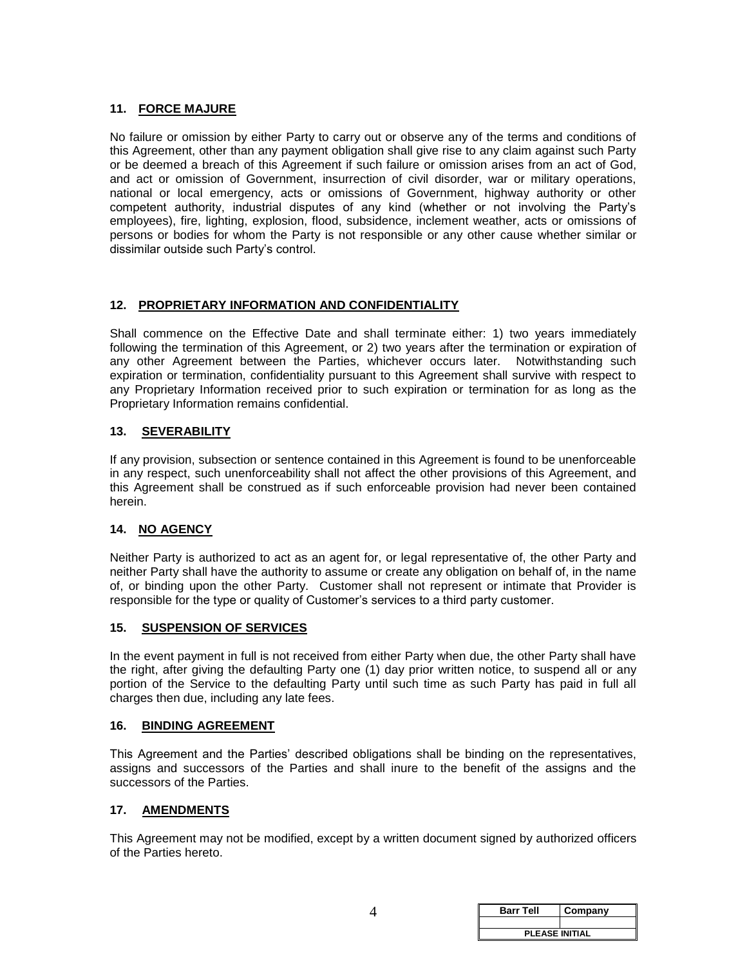#### **11. FORCE MAJURE**

No failure or omission by either Party to carry out or observe any of the terms and conditions of this Agreement, other than any payment obligation shall give rise to any claim against such Party or be deemed a breach of this Agreement if such failure or omission arises from an act of God, and act or omission of Government, insurrection of civil disorder, war or military operations, national or local emergency, acts or omissions of Government, highway authority or other competent authority, industrial disputes of any kind (whether or not involving the Party's employees), fire, lighting, explosion, flood, subsidence, inclement weather, acts or omissions of persons or bodies for whom the Party is not responsible or any other cause whether similar or dissimilar outside such Party's control.

## **12. PROPRIETARY INFORMATION AND CONFIDENTIALITY**

Shall commence on the Effective Date and shall terminate either: 1) two years immediately following the termination of this Agreement, or 2) two years after the termination or expiration of any other Agreement between the Parties, whichever occurs later. Notwithstanding such expiration or termination, confidentiality pursuant to this Agreement shall survive with respect to any Proprietary Information received prior to such expiration or termination for as long as the Proprietary Information remains confidential.

#### **13. SEVERABILITY**

If any provision, subsection or sentence contained in this Agreement is found to be unenforceable in any respect, such unenforceability shall not affect the other provisions of this Agreement, and this Agreement shall be construed as if such enforceable provision had never been contained herein.

## **14. NO AGENCY**

Neither Party is authorized to act as an agent for, or legal representative of, the other Party and neither Party shall have the authority to assume or create any obligation on behalf of, in the name of, or binding upon the other Party. Customer shall not represent or intimate that Provider is responsible for the type or quality of Customer's services to a third party customer.

#### **15. SUSPENSION OF SERVICES**

In the event payment in full is not received from either Party when due, the other Party shall have the right, after giving the defaulting Party one (1) day prior written notice, to suspend all or any portion of the Service to the defaulting Party until such time as such Party has paid in full all charges then due, including any late fees.

#### **16. BINDING AGREEMENT**

This Agreement and the Parties' described obligations shall be binding on the representatives, assigns and successors of the Parties and shall inure to the benefit of the assigns and the successors of the Parties.

#### **17. AMENDMENTS**

This Agreement may not be modified, except by a written document signed by authorized officers of the Parties hereto.

| <b>Barr Tell</b>      | Company |  |
|-----------------------|---------|--|
|                       |         |  |
| <b>PLEASE INITIAL</b> |         |  |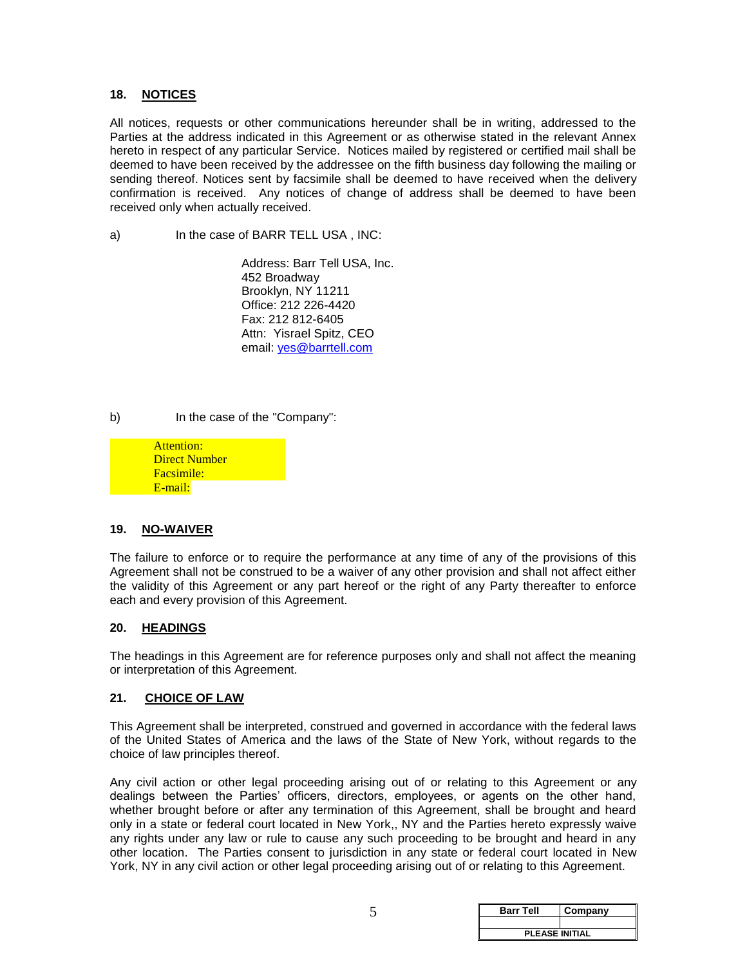#### **18. NOTICES**

All notices, requests or other communications hereunder shall be in writing, addressed to the Parties at the address indicated in this Agreement or as otherwise stated in the relevant Annex hereto in respect of any particular Service. Notices mailed by registered or certified mail shall be deemed to have been received by the addressee on the fifth business day following the mailing or sending thereof. Notices sent by facsimile shall be deemed to have received when the delivery confirmation is received. Any notices of change of address shall be deemed to have been received only when actually received.

a) In the case of BARR TELL USA, INC:

Address: Barr Tell USA, Inc. 452 Broadway Brooklyn, NY 11211 Office: 212 226-4420 Fax: 212 812-6405 Attn: Yisrael Spitz, CEO email: yes@barrtell.com

b) In the case of the "Company":

Attention: Direct Number Facsimile: E-mail:

#### **19. NO-WAIVER**

The failure to enforce or to require the performance at any time of any of the provisions of this Agreement shall not be construed to be a waiver of any other provision and shall not affect either the validity of this Agreement or any part hereof or the right of any Party thereafter to enforce each and every provision of this Agreement.

#### **20. HEADINGS**

The headings in this Agreement are for reference purposes only and shall not affect the meaning or interpretation of this Agreement.

#### **21. CHOICE OF LAW**

This Agreement shall be interpreted, construed and governed in accordance with the federal laws of the United States of America and the laws of the State of New York, without regards to the choice of law principles thereof.

Any civil action or other legal proceeding arising out of or relating to this Agreement or any dealings between the Parties' officers, directors, employees, or agents on the other hand, whether brought before or after any termination of this Agreement, shall be brought and heard only in a state or federal court located in New York,, NY and the Parties hereto expressly waive any rights under any law or rule to cause any such proceeding to be brought and heard in any other location. The Parties consent to jurisdiction in any state or federal court located in New York, NY in any civil action or other legal proceeding arising out of or relating to this Agreement.

| <b>Barr Tell</b>      | Company |  |
|-----------------------|---------|--|
|                       |         |  |
| <b>PLEASE INITIAL</b> |         |  |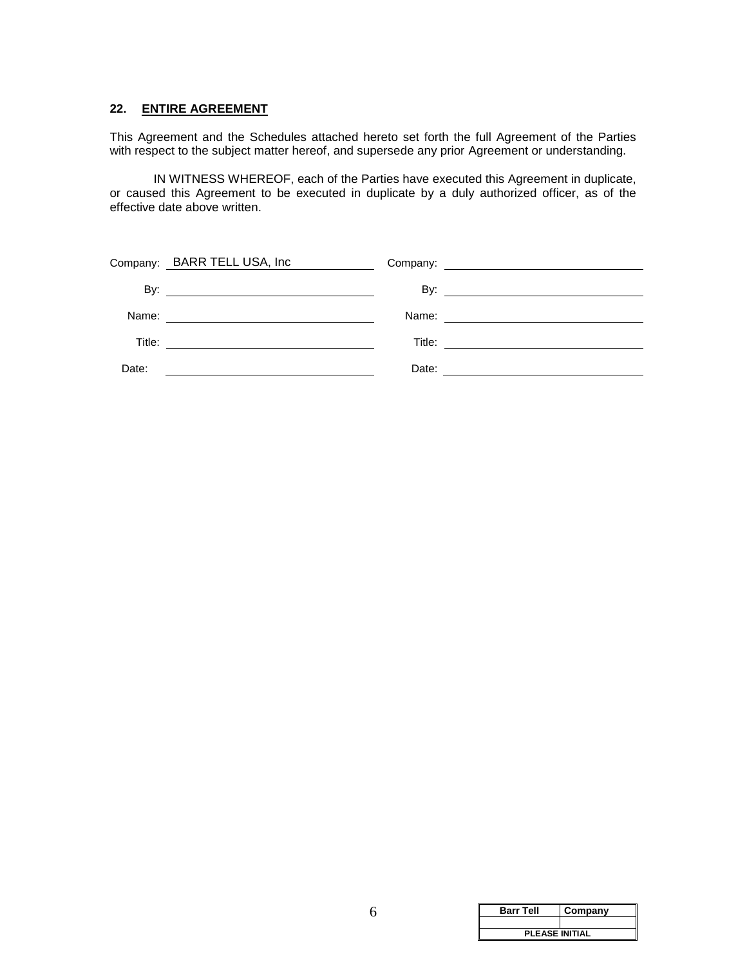#### **22. ENTIRE AGREEMENT**

This Agreement and the Schedules attached hereto set forth the full Agreement of the Parties with respect to the subject matter hereof, and supersede any prior Agreement or understanding.

IN WITNESS WHEREOF, each of the Parties have executed this Agreement in duplicate, or caused this Agreement to be executed in duplicate by a duly authorized officer, as of the effective date above written.

|        | Company: BARR TELL USA, Inc                   |       |  |
|--------|-----------------------------------------------|-------|--|
|        |                                               |       |  |
| Name:  | <u> Andrew Marian (1989)</u>                  |       |  |
| Title: | <u> 1989 - Andrea Andrew Maria (h. 1989).</u> |       |  |
| Date:  |                                               | Date: |  |

| <b>Barr Tell</b>      | Company |
|-----------------------|---------|
|                       |         |
| <b>PLEASE INITIAL</b> |         |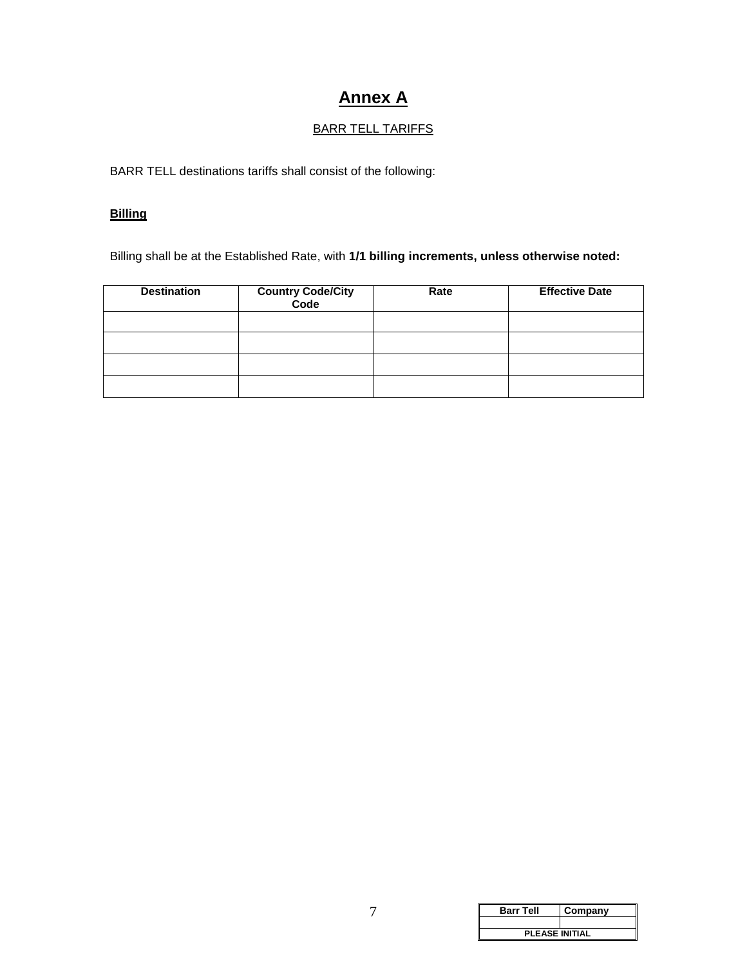# **Annex A**

## BARR TELL TARIFFS

BARR TELL destinations tariffs shall consist of the following:

## **Billing**

Billing shall be at the Established Rate, with **1/1 billing increments, unless otherwise noted:**

| <b>Destination</b> | <b>Country Code/City<br/>Code</b> | Rate | <b>Effective Date</b> |
|--------------------|-----------------------------------|------|-----------------------|
|                    |                                   |      |                       |
|                    |                                   |      |                       |
|                    |                                   |      |                       |
|                    |                                   |      |                       |

| <b>Barr Tell</b>      | Company |  |
|-----------------------|---------|--|
|                       |         |  |
| <b>PLEASE INITIAL</b> |         |  |